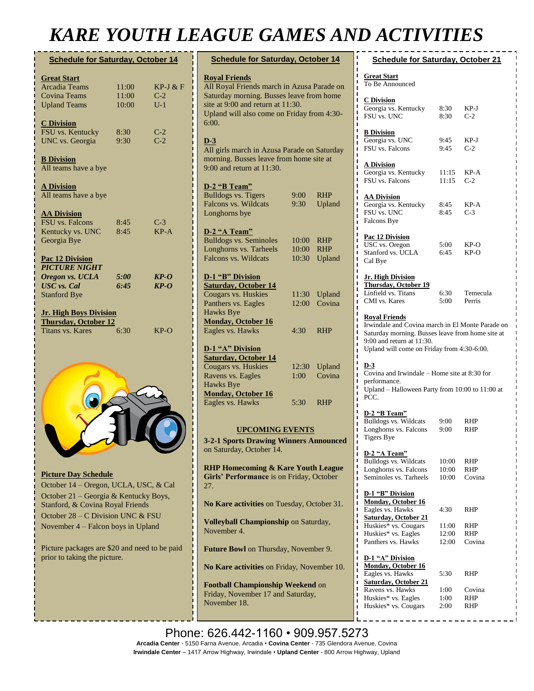# *KARE YOUTH LEAGUE GAMES AND ACTIVITIES*

| <b>Schedule for Saturday, October 14</b> |             |            |
|------------------------------------------|-------------|------------|
| <b>Great Start</b>                       |             |            |
| <b>Arcadia Teams</b>                     | 11:00       | $KP-J & F$ |
| Covina Teams                             | 11:00       | $C-2$      |
| <b>Upland Teams</b>                      | 10:00       | $U-1$      |
| <b>C</b> Division                        |             |            |
| FSU vs. Kentucky                         | 8:30        | $C-2$      |
| <b>UNC</b> vs. Georgia                   | 9:30        | $C-2$      |
| <b>B</b> Division                        |             |            |
| All teams have a bye                     |             |            |
| <b>A Division</b>                        |             |            |
| All teams have a bye                     |             |            |
| <b>AA Division</b>                       |             |            |
| <b>FSU</b> vs. Falcons                   | 8:45        | $C-3$      |
| Kentucky vs. UNC                         | 8:45        | $KP-A$     |
| Georgia Bye                              |             |            |
| Pac 12 Division                          |             |            |
| <b>PICTURE NIGHT</b>                     |             |            |
| Oregon vs. UCLA                          | <i>5:00</i> | $KP-O$     |
| <b>USC</b> vs. Cal                       | 6:45        | $KP-O$     |
| <b>Stanford Bye</b>                      |             |            |
| <b>Jr. High Boys Division</b>            |             |            |
| Thursday, October 12                     |             |            |
| Titans vs. Kares                         | 6:30        | $KP-O$     |
|                                          |             |            |
|                                          |             |            |
|                                          |             |            |
|                                          |             |            |



#### **Picture Day Schedule**

October 14 – Oregon, UCLA, USC, & Cal October 21 – Georgia & Kentucky Boys, Stanford, & Covina Royal Friends October 28 – C Division UNC & FSU November 4 – Falcon boys in Upland

Picture packages are \$20 and need to be paid prior to taking the picture.

| <b>Schedule for Saturday, October 14</b>                                                                                                                                                                   |       |            |  |  |
|------------------------------------------------------------------------------------------------------------------------------------------------------------------------------------------------------------|-------|------------|--|--|
| <b>Royal Friends</b><br>All Royal Friends march in Azusa Parade on<br>Saturday morning. Busses leave from home<br>site at 9:00 and return at 11:30.<br>Upland will also come on Friday from 4:30-<br>6:00. |       |            |  |  |
| $D-3$<br>All girls march in Azusa Parade on Saturday<br>morning. Busses leave from home site at<br>$9:00$ and return at $11:30$ .                                                                          |       |            |  |  |
| D-2 "B Team"                                                                                                                                                                                               |       |            |  |  |
| <b>Bulldogs vs. Tigers</b>                                                                                                                                                                                 | 9:00  | <b>RHP</b> |  |  |
| Falcons vs. Wildcats                                                                                                                                                                                       | 9:30  | Upland     |  |  |
| Longhorns bye                                                                                                                                                                                              |       |            |  |  |
| D-2 "A Team"                                                                                                                                                                                               |       |            |  |  |
| <b>Bulldogs vs. Seminoles</b>                                                                                                                                                                              | 10:00 | <b>RHP</b> |  |  |
| Longhorns vs. Tarheels                                                                                                                                                                                     | 10:00 | <b>RHP</b> |  |  |
| Falcons vs. Wildcats                                                                                                                                                                                       | 10:30 | Upland     |  |  |
| D-1 "B" Division<br><b>Saturday, October 14</b>                                                                                                                                                            |       |            |  |  |
| Cougars vs. Huskies                                                                                                                                                                                        | 11:30 | Upland     |  |  |
| Panthers vs. Eagles                                                                                                                                                                                        | 12:00 | Covina     |  |  |
| <b>Hawks Bye</b>                                                                                                                                                                                           |       |            |  |  |
| <b>Monday, October 16</b>                                                                                                                                                                                  |       |            |  |  |
| Eagles vs. Hawks                                                                                                                                                                                           | 4:30  | <b>RHP</b> |  |  |
| D-1 "A" Division<br><b>Saturday, October 14</b>                                                                                                                                                            |       |            |  |  |
| Cougars vs. Huskies                                                                                                                                                                                        | 12:30 | Upland     |  |  |
| Ravens vs. Eagles                                                                                                                                                                                          | 1:00  | Covina     |  |  |
| <b>Hawks Bye</b>                                                                                                                                                                                           |       |            |  |  |
| <b>Monday, October 16</b>                                                                                                                                                                                  |       |            |  |  |
| Eagles vs. Hawks                                                                                                                                                                                           | 5:30  | <b>RHP</b> |  |  |
|                                                                                                                                                                                                            |       |            |  |  |

### **UPCOMING EVENTS**

**3-2-1 Sports Drawing Winners Announced**  on Saturday, October 14.

**RHP Homecoming & Kare Youth League Girls' Performance** is on Friday, October 27.

**No Kare activities** on Tuesday, October 31.

**Volleyball Championship** on Saturday, November 4.

**Future Bowl** on Thursday, November 9.

**No Kare activities** on Friday, November 10.

**No Kare activities** from Monday, November

**Football Championship Weekend** on Friday, November 17 and Saturday, November 18.

| <b>Schedule for Saturday, October 21</b>                                                                                                                                                                     |                         |                             |  |  |
|--------------------------------------------------------------------------------------------------------------------------------------------------------------------------------------------------------------|-------------------------|-----------------------------|--|--|
| <b>Great Start</b><br>To Be Announced                                                                                                                                                                        |                         |                             |  |  |
| <b>C</b> Division<br>Georgia vs. Kentucky<br>FSU vs. UNC                                                                                                                                                     | 8:30<br>8:30            | KP-J<br>$C-2$               |  |  |
| <b>B</b> Division<br>Georgia vs. UNC<br>FSU vs. Falcons                                                                                                                                                      | 9:45<br>9:45            | KP-J<br>$C-2$               |  |  |
| <b>A Division</b><br>Georgia vs. Kentucky<br>FSU vs. Falcons                                                                                                                                                 | 11:15<br>11:15          | KP-A<br>$C-2$               |  |  |
| <b>AA Division</b><br>Georgia vs. Kentucky<br>FSU vs. UNC<br>Falcons Bye                                                                                                                                     | 8:45<br>8:45            | KP-A<br>$C-3$               |  |  |
| <b>Pac 12 Division</b><br>USC vs. Oregon<br>Stanford vs. UCLA<br>Cal Bye                                                                                                                                     | 5:00<br>6:45            | KP-O<br>KP-O                |  |  |
| <b>Jr. High Division</b><br><b>Thursday</b> , October 19<br>Linfield vs. Titans<br>CMI vs. Kares                                                                                                             | 6:30<br>5:00            | Temecula<br>Perris          |  |  |
| <b>Royal Friends</b><br>Irwindale and Covina march in El Monte Parade on<br>Saturday morning. Busses leave from home site at<br>$9:00$ and return at $11:30$ .<br>Upland will come on Friday from 4:30-6:00. |                         |                             |  |  |
| $D-3$<br>Covina and Irwindale - Home site at 8:30 for<br>performance.<br>Upland - Halloween Party from 10:00 to 11:00 at<br>PCC.                                                                             |                         |                             |  |  |
| D-2 "B Team"<br><b>Bulldogs vs. Wildcats</b><br>Longhorns vs. Falcons<br><b>Tigers Bye</b>                                                                                                                   | 9:00<br>9:00            | RHP<br>RHP                  |  |  |
| ı<br>D-2 "A Team"<br>Ï<br>Bulldogs vs. Wildcats<br>Longhorns vs. Falcons<br>Seminoles vs. Tarheels                                                                                                           | 10:00<br>10:00<br>10:00 | RHP<br>RHP<br>Covina        |  |  |
| ı<br>D-1 "B" Division<br>I<br><b>Monday, October 16</b><br>Eagles vs. Hawks<br>ı                                                                                                                             | 4:30                    | <b>RHP</b>                  |  |  |
| <b>Saturday, October 21</b><br>Huskies* vs. Cougars<br>Huskies* vs. Eagles<br>Panthers vs. Hawks                                                                                                             | 11:00<br>12:00<br>12:00 | RHP<br>RHP<br>Covina        |  |  |
| ı<br>ı<br>D-1 "A" Division<br>ı<br>Monday, October 16<br>ı<br>Eagles vs. Hawks                                                                                                                               | 5:30                    |                             |  |  |
| <b>Saturday, October 21</b><br>ı<br>Ravens vs. Hawks<br>Huskies* vs. Eagles                                                                                                                                  | 1:00<br>1:00            | RHP<br>Covina<br><b>RHP</b> |  |  |

Huskies\* vs. Cougars 2:00 RHP

Phone: 626.442-1160 · 909.957.5273 Arcadia Center - 5150 Farna Avenue, Arcadia • Covina Center - 735 Glendora Avenue, Covina **Irwindale Center** – 1417 Arrow Highway, Irwindale • **Upland Center** - 800 Arrow Highway, Upland<br>